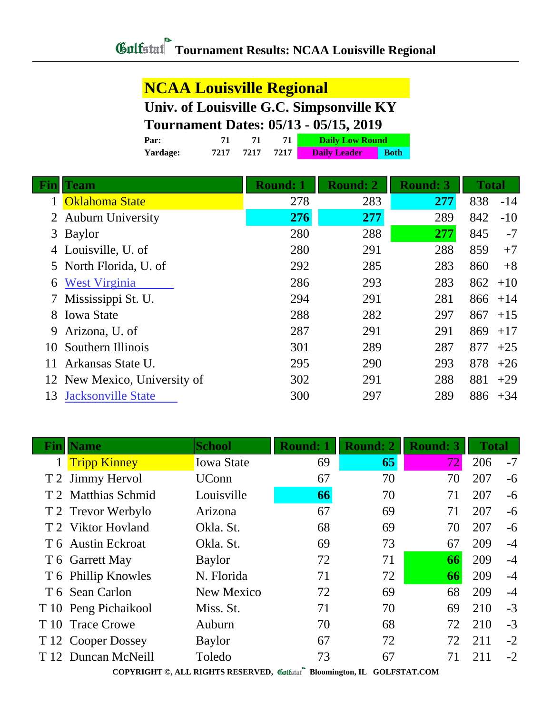### **NCAA Louisville Regional**

### **Univ. of Louisville G.C. Simpsonville KY**

### **Tournament Dates: 05/13 - 05/15, 2019**

| Par:     | 71   |      |      | <b>Daily Low Round</b> |             |
|----------|------|------|------|------------------------|-------------|
| Yardage: | 7217 | 7217 | 7217 | <b>Daily Leader</b>    | <b>Both</b> |

| Fin | Team                         | <b>Round: 1</b> | <b>Round: 2</b> | <b>Round: 3</b> | <b>Total</b> |
|-----|------------------------------|-----------------|-----------------|-----------------|--------------|
|     | <b>Oklahoma State</b>        | 278             | 283             | 277             | 838<br>$-14$ |
|     | <b>Auburn University</b>     | 276             | 277             | 289             | 842<br>$-10$ |
| 3   | <b>Baylor</b>                | 280             | 288             | 277             | 845<br>$-7$  |
| 4   | Louisville, U. of            | 280             | 291             | 288             | 859<br>$+7$  |
|     | 5 North Florida, U. of       | 292             | 285             | 283             | 860<br>$+8$  |
| 6   | <b>West Virginia</b>         | 286             | 293             | 283             | 862<br>$+10$ |
|     | Mississippi St. U.           | 294             | 291             | 281             | 866<br>$+14$ |
| 8.  | <b>Iowa State</b>            | 288             | 282             | 297             | 867<br>$+15$ |
| 9   | Arizona, U. of               | 287             | 291             | 291             | 869<br>$+17$ |
| 10  | Southern Illinois            | 301             | 289             | 287             | 877<br>$+25$ |
| 11  | Arkansas State U.            | 295             | 290             | 293             | 878<br>$+26$ |
|     | 12 New Mexico, University of | 302             | 291             | 288             | 881<br>$+29$ |
| 13  | <b>Jacksonville State</b>    | 300             | 297             | 289             | 886<br>$+34$ |

|      | <b>Fin</b>   Name    | <b>School</b>                                                                         | <b>Round: 1</b> | <b>Round: 2</b> | <b>Round: 3</b> | <b>Total</b> |      |  |  |  |
|------|----------------------|---------------------------------------------------------------------------------------|-----------------|-----------------|-----------------|--------------|------|--|--|--|
|      | <b>Tripp Kinney</b>  | <b>Iowa State</b>                                                                     | 69              | 65              | 72              | 206          | $-7$ |  |  |  |
|      | T 2 Jimmy Hervol     | <b>UConn</b>                                                                          | 67              | 70              | 70              | 207          | -6   |  |  |  |
|      | T 2 Matthias Schmid  | Louisville                                                                            | 66              | 70              | 71              | 207          | $-6$ |  |  |  |
|      | T 2 Trevor Werbylo   | Arizona                                                                               | 67              | 69              | 71              | 207          | $-6$ |  |  |  |
|      | T 2 Viktor Hovland   | Okla. St.                                                                             | 68              | 69              | 70              | 207          | $-6$ |  |  |  |
|      | T 6 Austin Eckroat   | Okla. St.                                                                             | 69              | 73              | 67              | 209          | $-4$ |  |  |  |
|      | T 6 Garrett May      | <b>Baylor</b>                                                                         | 72              | 71              | 66              | 209          | $-4$ |  |  |  |
|      | T 6 Phillip Knowles  | N. Florida                                                                            | 71              | 72              | 66              | 209          | $-4$ |  |  |  |
|      | T 6 Sean Carlon      | <b>New Mexico</b>                                                                     | 72              | 69              | 68              | 209          | $-4$ |  |  |  |
|      | T 10 Peng Pichaikool | Miss. St.                                                                             | 71              | 70              | 69              | 210          | $-3$ |  |  |  |
| T 10 | <b>Trace Crowe</b>   | Auburn                                                                                | 70              | 68              | 72              | 210          | $-3$ |  |  |  |
|      | T 12 Cooper Dossey   | <b>Baylor</b>                                                                         | 67              | 72              | 72              | 211          | $-2$ |  |  |  |
| T 12 | Duncan McNeill       | Toledo                                                                                | 73              | 67              | 71              | 211          | $-2$ |  |  |  |
|      |                      | CONVINIOUS AT ENGLISH DESERVED $\mathscr{B}$ is $\mathbb{R}^n$<br>$OOT$ DOD LE $OQ1I$ |                 |                 |                 |              |      |  |  |  |

**COPYRIGHT ©, ALL RIGHTS RESERVED, Bloomington, IL GOLFSTAT.COM**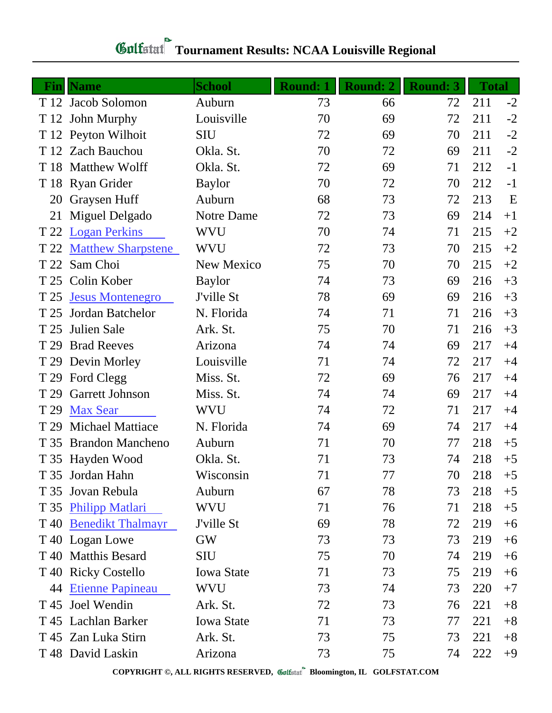| Fin  | <b>Name</b>               | <b>School</b>     | <b>Round: 1</b> | <b>Round: 2</b> | <b>Round: 3</b> | <b>Total</b> |      |
|------|---------------------------|-------------------|-----------------|-----------------|-----------------|--------------|------|
|      | T 12 Jacob Solomon        | Auburn            | 73              | 66              | 72              | 211          | $-2$ |
|      | T 12 John Murphy          | Louisville        | 70              | 69              | 72              | 211          | $-2$ |
|      | T 12 Peyton Wilhoit       | <b>SIU</b>        | 72              | 69              | 70              | 211          | $-2$ |
|      | T 12 Zach Bauchou         | Okla. St.         | 70              | 72              | 69              | 211          | $-2$ |
| T 18 | <b>Matthew Wolff</b>      | Okla. St.         | 72              | 69              | 71              | 212          | $-1$ |
|      | T 18 Ryan Grider          | <b>Baylor</b>     | 70              | 72              | 70              | 212          | $-1$ |
| 20   | Graysen Huff              | Auburn            | 68              | 73              | 72              | 213          | E    |
| 21   | Miguel Delgado            | Notre Dame        | 72              | 73              | 69              | 214          | $+1$ |
| T 22 | <b>Logan Perkins</b>      | WVU               | 70              | 74              | 71              | 215          | $+2$ |
| T 22 | <b>Matthew Sharpstene</b> | <b>WVU</b>        | 72              | 73              | 70              | 215          | $+2$ |
| T 22 | Sam Choi                  | New Mexico        | 75              | 70              | 70              | 215          | $+2$ |
| T 25 | Colin Kober               | <b>Baylor</b>     | 74              | 73              | 69              | 216          | $+3$ |
| T 25 | <b>Jesus Montenegro</b>   | J'ville St        | 78              | 69              | 69              | 216          | $+3$ |
| T 25 | Jordan Batchelor          | N. Florida        | 74              | 71              | 71              | 216          | $+3$ |
| T 25 | Julien Sale               | Ark. St.          | 75              | 70              | 71              | 216          | $+3$ |
| T 29 | <b>Brad Reeves</b>        | Arizona           | 74              | 74              | 69              | 217          | $+4$ |
| T 29 | Devin Morley              | Louisville        | 71              | 74              | 72              | 217          | $+4$ |
| T 29 | Ford Clegg                | Miss. St.         | 72              | 69              | 76              | 217          | $+4$ |
| T 29 | <b>Garrett Johnson</b>    | Miss. St.         | 74              | 74              | 69              | 217          | $+4$ |
| T 29 | <b>Max Sear</b>           | <b>WVU</b>        | 74              | 72              | 71              | 217          | $+4$ |
| T 29 | <b>Michael Mattiace</b>   | N. Florida        | 74              | 69              | 74              | 217          | $+4$ |
| T 35 | <b>Brandon Mancheno</b>   | Auburn            | 71              | 70              | 77              | 218          | $+5$ |
|      | T 35 Hayden Wood          | Okla. St.         | 71              | 73              | 74              | 218          | $+5$ |
|      | T 35 Jordan Hahn          | Wisconsin         | 71              | 77              | 70              | 218          | $+5$ |
| T 35 | Jovan Rebula              | Auburn            | 67              | 78              | 73              | 218          | $+5$ |
| T 35 | <b>Philipp Matlari</b>    | WVU               | 71              | 76              | 71              | 218          | $+5$ |
| T 40 | <b>Benedikt Thalmayr</b>  | J'ville St        | 69              | 78              | 72              | 219          | $+6$ |
|      | T 40 Logan Lowe           | GW                | 73              | 73              | 73              | 219          | $+6$ |
|      | T 40 Matthis Besard       | <b>SIU</b>        | 75              | 70              | 74              | 219          | $+6$ |
| T 40 | <b>Ricky Costello</b>     | <b>Iowa State</b> | 71              | 73              | 75              | 219          | $+6$ |
| 44   | <b>Etienne Papineau</b>   | WVU               | 73              | 74              | 73              | 220          | $+7$ |
| T 45 | Joel Wendin               | Ark. St.          | 72              | 73              | 76              | 221          | $+8$ |
|      | T 45 Lachlan Barker       | <b>Iowa State</b> | 71              | 73              | 77              | 221          | $+8$ |
|      | T 45 Zan Luka Stirn       | Ark. St.          | 73              | 75              | 73              | 221          | $+8$ |
|      | T 48 David Laskin         | Arizona           | 73              | 75              | 74              | 222          | $+9$ |

# **Tournament Results: NCAA Louisville Regional**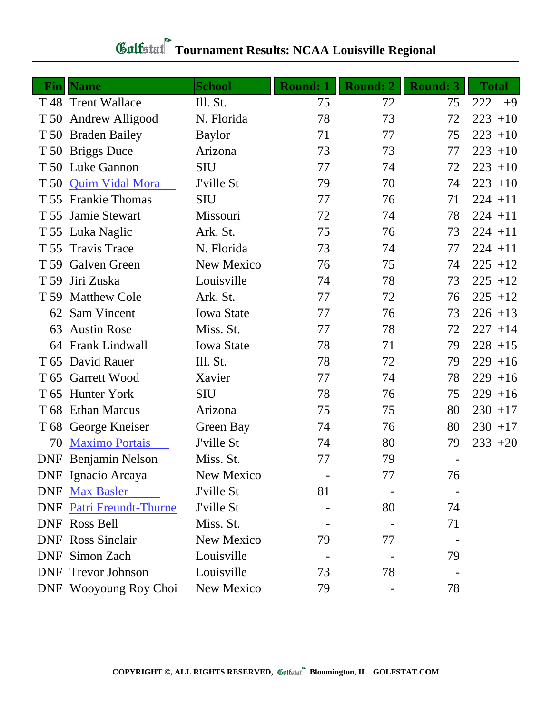|            | <b>Fin</b>   Name           | <b>School</b>     | <b>Round: 1</b> | <b>Round: 2</b> | <b>Round: 3</b> | <b>Total</b> |
|------------|-----------------------------|-------------------|-----------------|-----------------|-----------------|--------------|
|            | T 48 Trent Wallace          | Ill. St.          | 75              | 72              | 75              | 222<br>$+9$  |
|            | T 50 Andrew Alligood        | N. Florida        | 78              | 73              | 72              | $223 + 10$   |
| T 50       | <b>Braden Bailey</b>        | <b>Baylor</b>     | 71              | 77              | 75              | $223 + 10$   |
|            | T 50 Briggs Duce            | Arizona           | 73              | 73              | 77              | $223 + 10$   |
|            | T 50 Luke Gannon            | <b>SIU</b>        | 77              | 74              | 72              | $223 + 10$   |
|            | T 50 Quim Vidal Mora        | J'ville St        | 79              | 70              | 74              | $223 + 10$   |
|            | T 55 Frankie Thomas         | <b>SIU</b>        | 77              | 76              | 71              | $224 + 11$   |
| T 55       | Jamie Stewart               | Missouri          | 72              | 74              | 78              | $224 + 11$   |
|            | T 55 Luka Naglic            | Ark. St.          | 75              | 76              | 73              | $224 + 11$   |
| T 55       | <b>Travis Trace</b>         | N. Florida        | 73              | 74              | 77              | $224 + 11$   |
|            | T 59 Galven Green           | New Mexico        | 76              | 75              | 74              | $225 + 12$   |
| T 59       | Jiri Zuska                  | Louisville        | 74              | 78              | 73              | $225 + 12$   |
| T 59       | <b>Matthew Cole</b>         | Ark. St.          | 77              | 72              | 76              | $225 + 12$   |
| 62         | Sam Vincent                 | <b>Iowa State</b> | 77              | 76              | 73              | $226 + 13$   |
| 63         | <b>Austin Rose</b>          | Miss. St.         | 77              | 78              | 72              | $227 + 14$   |
|            | 64 Frank Lindwall           | <b>Iowa State</b> | 78              | 71              | 79              | $228 + 15$   |
| T 65       | David Rauer                 | Ill. St.          | 78              | 72              | 79              | $229 + 16$   |
|            | T 65 Garrett Wood           | Xavier            | 77              | 74              | 78              | $229 + 16$   |
| T 65       | <b>Hunter York</b>          | <b>SIU</b>        | 78              | 76              | 75              | $229 + 16$   |
|            | T 68 Ethan Marcus           | Arizona           | 75              | 75              | 80              | $230 + 17$   |
|            | T 68 George Kneiser         | Green Bay         | 74              | 76              | 80              | $230 + 17$   |
| 70         | <b>Maximo Portais</b>       | J'ville St        | 74              | 80              | 79              | $233 + 20$   |
| <b>DNF</b> | Benjamin Nelson             | Miss. St.         | 77              | 79              |                 |              |
|            | DNF Ignacio Arcaya          | New Mexico        |                 | 77              | 76              |              |
|            | DNF Max Basler              | J'ville St        | 81              |                 |                 |              |
| <b>DNF</b> | <b>Patri Freundt-Thurne</b> | J'ville St        |                 | 80              | 74              |              |
| <b>DNF</b> | Ross Bell                   | Miss. St.         |                 |                 | 71              |              |
| <b>DNF</b> | <b>Ross Sinclair</b>        | New Mexico        | 79              | 77              |                 |              |
| <b>DNF</b> | Simon Zach                  | Louisville        |                 |                 | 79              |              |
| <b>DNF</b> | <b>Trevor Johnson</b>       | Louisville        | 73              | 78              |                 |              |
|            | DNF Wooyoung Roy Choi       | New Mexico        | 79              |                 | 78              |              |

# **Tournament Results: NCAA Louisville Regional**